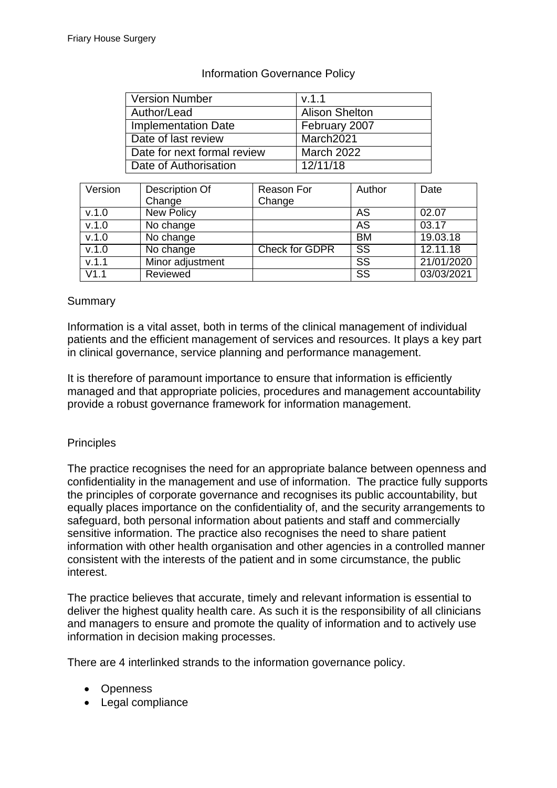| <b>Version Number</b>       | V.1.1                 |
|-----------------------------|-----------------------|
| Author/Lead                 | <b>Alison Shelton</b> |
| <b>Implementation Date</b>  | February 2007         |
| Date of last review         | March2021             |
| Date for next formal review | <b>March 2022</b>     |
| Date of Authorisation       | 12/11/18              |

# Information Governance Policy

| Version | Description Of<br>Change | Reason For<br>Change  | Author    | Date       |
|---------|--------------------------|-----------------------|-----------|------------|
|         |                          |                       |           |            |
| V.1.0   | <b>New Policy</b>        |                       | AS        | 02.07      |
| V.1.0   | No change                |                       | AS        | 03.17      |
| v.1.0   | No change                |                       | <b>BM</b> | 19.03.18   |
| v.1.0   | No change                | <b>Check for GDPR</b> | <b>SS</b> | 12.11.18   |
| V.1.1   | Minor adjustment         |                       | SS        | 21/01/2020 |
| V1.1    | Reviewed                 |                       | SS        | 03/03/2021 |

## Summary

Information is a vital asset, both in terms of the clinical management of individual patients and the efficient management of services and resources. It plays a key part in clinical governance, service planning and performance management.

It is therefore of paramount importance to ensure that information is efficiently managed and that appropriate policies, procedures and management accountability provide a robust governance framework for information management.

# **Principles**

The practice recognises the need for an appropriate balance between openness and confidentiality in the management and use of information. The practice fully supports the principles of corporate governance and recognises its public accountability, but equally places importance on the confidentiality of, and the security arrangements to safeguard, both personal information about patients and staff and commercially sensitive information. The practice also recognises the need to share patient information with other health organisation and other agencies in a controlled manner consistent with the interests of the patient and in some circumstance, the public interest.

The practice believes that accurate, timely and relevant information is essential to deliver the highest quality health care. As such it is the responsibility of all clinicians and managers to ensure and promote the quality of information and to actively use information in decision making processes.

There are 4 interlinked strands to the information governance policy.

- Openness
- Legal compliance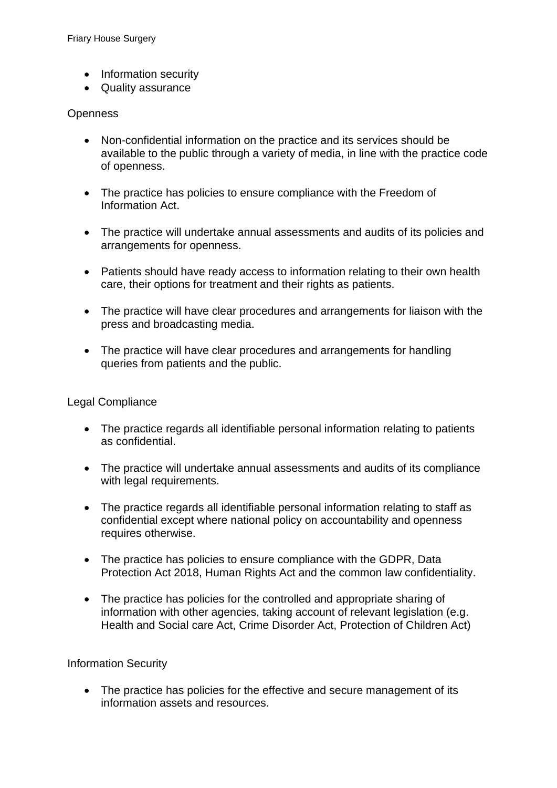- Information security
- Quality assurance

# **Openness**

- Non-confidential information on the practice and its services should be available to the public through a variety of media, in line with the practice code of openness.
- The practice has policies to ensure compliance with the Freedom of Information Act.
- The practice will undertake annual assessments and audits of its policies and arrangements for openness.
- Patients should have ready access to information relating to their own health care, their options for treatment and their rights as patients.
- The practice will have clear procedures and arrangements for liaison with the press and broadcasting media.
- The practice will have clear procedures and arrangements for handling queries from patients and the public.

# Legal Compliance

- The practice regards all identifiable personal information relating to patients as confidential.
- The practice will undertake annual assessments and audits of its compliance with legal requirements.
- The practice regards all identifiable personal information relating to staff as confidential except where national policy on accountability and openness requires otherwise.
- The practice has policies to ensure compliance with the GDPR, Data Protection Act 2018, Human Rights Act and the common law confidentiality.
- The practice has policies for the controlled and appropriate sharing of information with other agencies, taking account of relevant legislation (e.g. Health and Social care Act, Crime Disorder Act, Protection of Children Act)

# Information Security

• The practice has policies for the effective and secure management of its information assets and resources.